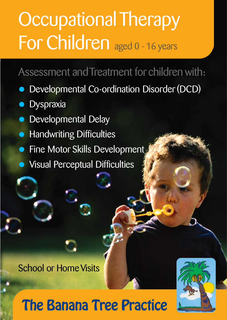# Occupational Therapy For Children aged 0 - 16 years

## Assessment and Treatment for children with:

- Developmental Co-ordination Disorder (DCD)
- **Dyspraxia**
- Developmental Delay
- **Handwriting Difficulties**
- Fine Motor Skills Development
- Visual Perceptual Difficulties

School or Home Visits

# The Banana Tree Practice

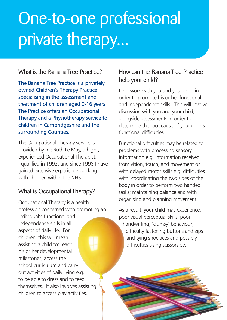# One-to-one professional private therapy...

### What is the Banana Tree Practice?

The Banana Tree Practice is a privately owned Children's Therapy Practice specialising in the assessment and treatment of children aged 0-16 years. The Practice offers an Occupational Therapy and a Physiotherapy service to children in Cambridgeshire and the surrounding Counties.

The Occupational Therapy service is provided by me Ruth Le May, a highly experienced Occupational Therapist. I qualified in 1992, and since 1998 I have gained extensive experience working with children within the NHS.

### What is Occupational Therapy?

Occupational Therapy is a health profession concerned with promoting an individual's functional and independence skills in all aspects of daily life. For children, this will mean assisting a child to: reach his or her developmental milestones; access the school curriculum and carry out activities of daily living e.g. to be able to dress and to feed themselves. It also involves assisting children to access play activities.

### How can the Banana Tree Practice help your child?

I will work with you and your child in order to promote his or her functional and independence skills. This will involve discussion with you and your child, alongside assessments in order to determine the root cause of your child's functional difficulties.

Functional difficulties may be related to problems with processing sensory information e.g. information received from vision, touch, and movement or with delayed motor skills e.g. difficulties with: coordinating the two sides of the body in order to perform two handed tasks; maintaining balance and with organising and planning movement.

As a result, your child may experience: poor visual perceptual skills; poor handwriting; 'clumsy' behaviour; difficulty fastening buttons and zips and tying shoelaces and possibly difficulties using scissors etc.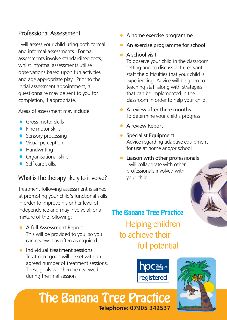### Professional Assessment

I will assess your child using both formal and informal assessments. Formal assessments involve standardised tests, whilst informal assessments utilise observations based upon fun activities and age appropriate play. Prior to the initial assessment appointment, a questionnaire may be sent to you for completion, if appropriate.

Areas of assessment may include:

- **•** Gross motor skills
- Fine motor skills
- Sensory processing
- Visual perception
- Handwriting
- **•** Organisational skills
- Self care skills.

### What is the therapy likely to involve?

Treatment following assessment is aimed at promoting your child's functional skills in order to improve his or her level of independence and may involve all or a mixture of the following:

- A full Assessment Report This will be provided to you, so you can review it as often as required
- Individual treatment sessions Treatment goals will be set with an agreed number of treatment sessions. These goals will then be reviewed during the final session
- A home exercise programme
- An exercise programme for school

### • A school visit

To observe your child in the classroom setting and to discuss with relevant staff the difficulties that your child is experiencing. Advice will be given to teaching staff along with strategies that can be implemented in the classroom in order to help your child.

- A review after three months To determine your child's progress
- A review Report
- Specialist Equipment Advice regarding adaptive equipment for use at home and/or school
- Liaison with other professionals I will collaborate with other professionals involved with your child.

## Helping children to achieve their full potential The Banana Tree Practice





## The Banana Tree Practice **Telephone: 07905 342537**